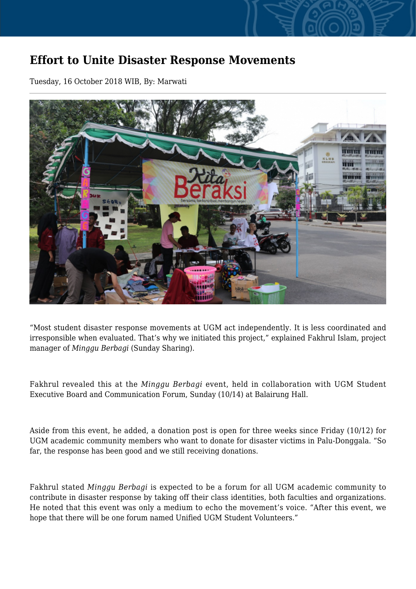## **Effort to Unite Disaster Response Movements**

Tuesday, 16 October 2018 WIB, By: Marwati



"Most student disaster response movements at UGM act independently. It is less coordinated and irresponsible when evaluated. That's why we initiated this project," explained Fakhrul Islam, project manager of *Minggu Berbagi* (Sunday Sharing).

Fakhrul revealed this at the *Minggu Berbagi* event, held in collaboration with UGM Student Executive Board and Communication Forum, Sunday (10/14) at Balairung Hall.

Aside from this event, he added, a donation post is open for three weeks since Friday (10/12) for UGM academic community members who want to donate for disaster victims in Palu-Donggala. "So far, the response has been good and we still receiving donations.

Fakhrul stated *Minggu Berbagi* is expected to be a forum for all UGM academic community to contribute in disaster response by taking off their class identities, both faculties and organizations. He noted that this event was only a medium to echo the movement's voice. "After this event, we hope that there will be one forum named Unified UGM Student Volunteers."